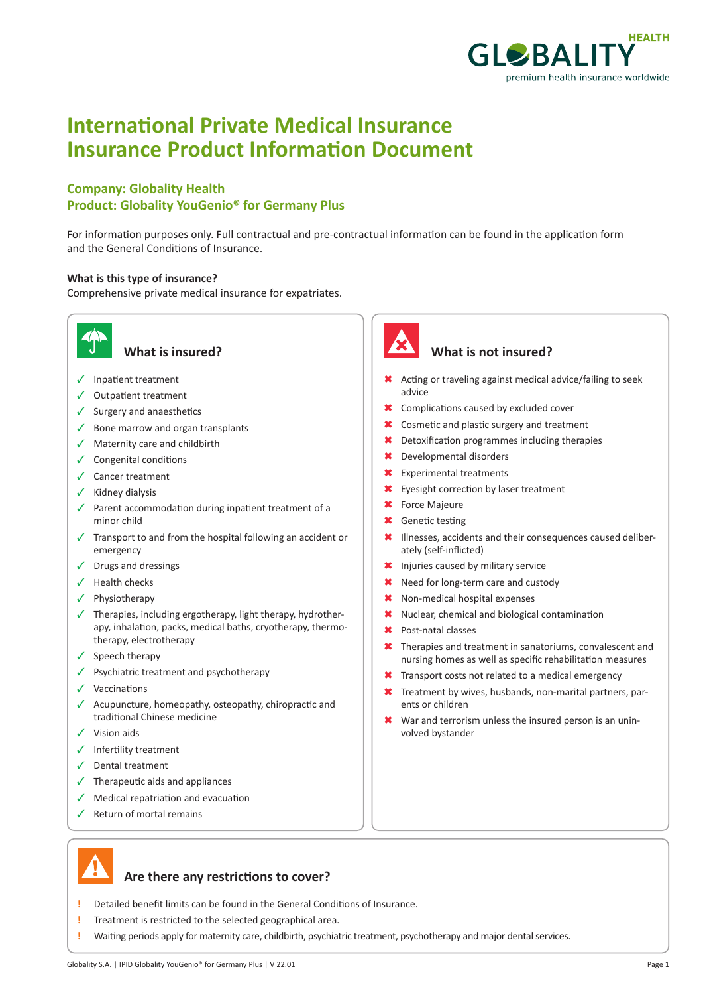

# **International Private Medical Insurance Insurance Product Information Document**

## **Company: Globality Health Product: Globality YouGenio® for Germany Plus**

For information purposes only. Full contractual and pre-contractual information can be found in the application form and the General Conditions of Insurance.

### **What is this type of insurance?**

Comprehensive private medical insurance for expatriates.



- $\checkmark$  Inpatient treatment
- $\checkmark$  Outpatient treatment
- $\checkmark$  Surgery and anaesthetics
- $\checkmark$  Bone marrow and organ transplants
- $\checkmark$  Maternity care and childbirth
- $\checkmark$  Congenital conditions
- $\angle$  Cancer treatment
- $\checkmark$  Kidney dialysis
- $\checkmark$  Parent accommodation during inpatient treatment of a minor child
- $\checkmark$  Transport to and from the hospital following an accident or emergency
- $\sqrt{ }$  Drugs and dressings
- $\checkmark$  Health checks
- ✔ Physiotherapy
- $\checkmark$  Therapies, including ergotherapy, light therapy, hydrotherapy, inhalation, packs, medical baths, cryotherapy, thermotherapy, electrotherapy
- $\checkmark$  Speech therapy
- $\checkmark$  Psychiatric treatment and psychotherapy
- $\checkmark$  Vaccinations
- $\checkmark$  Acupuncture, homeopathy, osteopathy, chiropractic and traditional Chinese medicine
- $\checkmark$  Vision aids
- $\checkmark$  Infertility treatment
- $\checkmark$  Dental treatment
- $\checkmark$  Therapeutic aids and appliances
- $\sqrt{\phantom{a}}$  Medical repatriation and evacuation
- $\sqrt{ }$  Return of mortal remains



## **What is insured? What is not insured?**

- \* Acting or traveling against medical advice/failing to seek advice
- **\*** Complications caused by excluded cover
- **\*** Cosmetic and plastic surgery and treatment
- \* Detoxification programmes including therapies
- \* Developmental disorders
- **\*** Experimental treatments
- \* Eyesight correction by laser treatment
- **\*** Force Majeure
- **\*** Genetic testing
- \* Illnesses, accidents and their consequences caused deliberately (self-inflicted)
- \* Injuries caused by military service
- \* Need for long-term care and custody
- \* Non-medical hospital expenses
- \* Nuclear, chemical and biological contamination
- \* Post-natal classes
- $\star$  Therapies and treatment in sanatoriums, convalescent and nursing homes as well as specific rehabilitation measures
- **\*** Transport costs not related to a medical emergency
- **\*** Treatment by wives, husbands, non-marital partners, parents or children
- $\star$  War and terrorism unless the insured person is an uninvolved bystander



## **Are there any restrictions to cover?**

- **!** Detailed benefit limits can be found in the General Conditions of Insurance.
- **!** Treatment is restricted to the selected geographical area.
- **!** Waiting periods apply for maternity care, childbirth, psychiatric treatment, psychotherapy and major dental services.